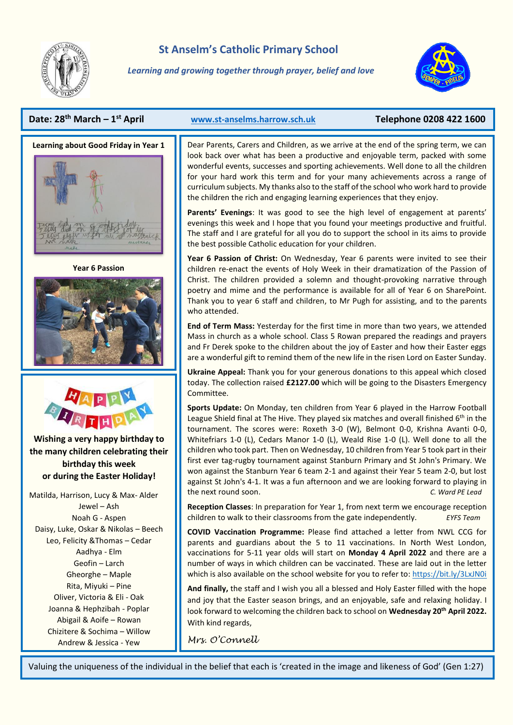

# **St Anselm's Catholic Primary School**

*Learning and growing together through prayer, belief and love*



## **Date: 28th March – 1**



**Year 6 Passion** 





**Wishing a very happy birthday to the many children celebrating their birthday this week or during the Easter Holiday!**

Matilda, Harrison, Lucy & Max- Alder Jewel – Ash Noah G - Aspen Daisy, Luke, Oskar & Nikolas – Beech Leo, Felicity &Thomas – Cedar Aadhya - Elm Geofin – Larch Gheorghe – Maple Rita, Miyuki – Pine Oliver, Victoria & Eli - Oak Joanna & Hephzibah - Poplar Abigail & Aoife – Rowan Chizitere & Sochima – Willow Andrew & Jessica - Yew

#### **st April [www.st-anselms.harrow.sch.uk](http://www.st-anselms.harrow.sch.uk/) Telephone 0208 422 1600**

Dear Parents, Carers and Children, as we arrive at the end of the spring term, we can look back over what has been a productive and enjoyable term, packed with some wonderful events, successes and sporting achievements. Well done to all the children for your hard work this term and for your many achievements across a range of curriculum subjects. My thanks also to the staff of the school who work hard to provide the children the rich and engaging learning experiences that they enjoy.

**Parents' Evenings**: It was good to see the high level of engagement at parents' evenings this week and I hope that you found your meetings productive and fruitful. The staff and I are grateful for all you do to support the school in its aims to provide the best possible Catholic education for your children.

**Year 6 Passion of Christ:** On Wednesday, Year 6 parents were invited to see their children re-enact the events of Holy Week in their dramatization of the Passion of Christ. The children provided a solemn and thought-provoking narrative through poetry and mime and the performance is available for all of Year 6 on SharePoint. Thank you to year 6 staff and children, to Mr Pugh for assisting, and to the parents who attended.

**End of Term Mass:** Yesterday for the first time in more than two years, we attended Mass in church as a whole school. Class 5 Rowan prepared the readings and prayers and Fr Derek spoke to the children about the joy of Easter and how their Easter eggs are a wonderful gift to remind them of the new life in the risen Lord on Easter Sunday.

**Ukraine Appeal:** Thank you for your generous donations to this appeal which closed today. The collection raised **£2127.00** which will be going to the Disasters Emergency Committee.

**Sports Update:** On Monday, ten children from Year 6 played in the Harrow Football League Shield final at The Hive. They played six matches and overall finished  $6<sup>th</sup>$  in the tournament. The scores were: Roxeth 3-0 (W), Belmont 0-0, Krishna Avanti 0-0, Whitefriars 1-0 (L), Cedars Manor 1-0 (L), Weald Rise 1-0 (L). Well done to all the children who took part. Then on Wednesday, 10 children from Year 5 took part in their first ever tag-rugby tournament against Stanburn Primary and St John's Primary. We won against the Stanburn Year 6 team 2-1 and against their Year 5 team 2-0, but lost against St John's 4-1. It was a fun afternoon and we are looking forward to playing in the next round soon. *C. Ward PE Lead*

**Reception Classes**: In preparation for Year 1, from next term we encourage reception children to walk to their classrooms from the gate independently. *EYFS Team*

**COVID Vaccination Programme:** Please find attached a letter from NWL CCG for parents and guardians about the 5 to 11 vaccinations. In North West London, vaccinations for 5-11 year olds will start on **Monday 4 April 2022** and there are a number of ways in which children can be vaccinated. These are laid out in the letter which is also available on the school website for you to refer to[: https://bit.ly/3LxJN0i](https://bit.ly/3LxJN0i)

**And finally,** the staff and I wish you all a blessed and Holy Easter filled with the hope and joy that the Easter season brings, and an enjoyable, safe and relaxing holiday. I look forward to welcoming the children back to school on **Wednesday 20th April 2022.** With kind regards,

*Mrs. O'Connell*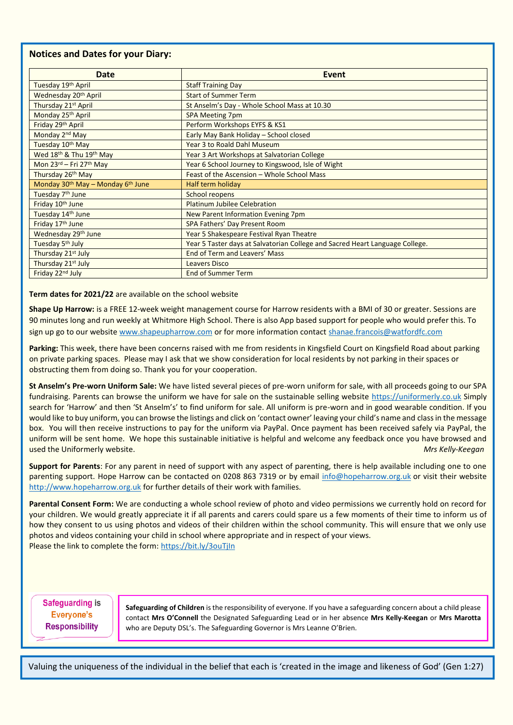#### **Notices and Dates for your Diary:**

| <b>Date</b>                                               | <b>Event</b>                                                                 |
|-----------------------------------------------------------|------------------------------------------------------------------------------|
| Tuesday 19th April                                        | <b>Staff Training Day</b>                                                    |
| Wednesday 20 <sup>th</sup> April                          | <b>Start of Summer Term</b>                                                  |
| Thursday 21st April                                       | St Anselm's Day - Whole School Mass at 10.30                                 |
| Monday 25th April                                         | <b>SPA Meeting 7pm</b>                                                       |
| Friday 29th April                                         | Perform Workshops EYFS & KS1                                                 |
| Monday 2 <sup>nd</sup> May                                | Early May Bank Holiday - School closed                                       |
| Tuesday 10th May                                          | Year 3 to Roald Dahl Museum                                                  |
| Wed 18 <sup>th</sup> & Thu 19 <sup>th</sup> May           | Year 3 Art Workshops at Salvatorian College                                  |
| Mon 23rd - Fri 27th May                                   | Year 6 School Journey to Kingswood, Isle of Wight                            |
| Thursday 26th May                                         | Feast of the Ascension - Whole School Mass                                   |
| Monday 30 <sup>th</sup> May - Monday 6 <sup>th</sup> June | Half term holiday                                                            |
| Tuesday 7 <sup>th</sup> June                              | <b>School reopens</b>                                                        |
| Friday 10th June                                          | <b>Platinum Jubilee Celebration</b>                                          |
| Tuesday 14th June                                         | New Parent Information Evening 7pm                                           |
| Friday 17 <sup>th</sup> June                              | SPA Fathers' Day Present Room                                                |
| Wednesday 29th June                                       | Year 5 Shakespeare Festival Ryan Theatre                                     |
| Tuesday 5 <sup>th</sup> July                              | Year 5 Taster days at Salvatorian College and Sacred Heart Language College. |
| Thursday 21 <sup>st</sup> July                            | End of Term and Leavers' Mass                                                |
| Thursday 21st July                                        | <b>Leavers Disco</b>                                                         |
| Friday 22nd July                                          | <b>End of Summer Term</b>                                                    |

**Term dates for 2021/22** are available on the school website

**Shape Up Harrow:** is a FREE 12-week weight management course for Harrow residents with a BMI of 30 or greater. Sessions are 90 minutes long and run weekly at Whitmore High School. There is also App based support for people who would prefer this. To sign up go to our website [www.shapeupharrow.com](https://eur01.safelinks.protection.outlook.com/?url=http%3A%2F%2Fwww.shapeupharrow.com%2F&data=04%7C01%7CAnna.Kirk%40harrow.gov.uk%7Cf2eadf8770864e9cc84a08da0c106481%7Cd2c39953a8db4c3c97f2d2dc76fb3e2c%7C1%7C0%7C637835561784787393%7CUnknown%7CTWFpbGZsb3d8eyJWIjoiMC4wLjAwMDAiLCJQIjoiV2luMzIiLCJBTiI6Ik1haWwiLCJXVCI6Mn0%3D%7C3000&sdata=MXXKHW3fEX%2BU3oGC27F4GaJHhchjQJ6kejm8N9rtQ9c%3D&reserved=0) or for more information contact [shanae.francois@watfordfc.com](mailto:shanae.francois@watfordfc.com)

Parking: This week, there have been concerns raised with me from residents in Kingsfield Court on Kingsfield Road about parking on private parking spaces. Please may I ask that we show consideration for local residents by not parking in their spaces or obstructing them from doing so. Thank you for your cooperation.

**St Anselm's Pre-worn Uniform Sale:** We have listed several pieces of pre-worn uniform for sale, with all proceeds going to our SPA fundraising. Parents can browse the uniform we have for sale on the sustainable selling website [https://uniformerly.co.uk](https://uniformerly.co.uk/) Simply search for 'Harrow' and then 'St Anselm's' to find uniform for sale. All uniform is pre-worn and in good wearable condition. If you would like to buy uniform, you can browse the listings and click on 'contact owner' leaving your child's name and class in the message box. You will then receive instructions to pay for the uniform via PayPal. Once payment has been received safely via PayPal, the uniform will be sent home. We hope this sustainable initiative is helpful and welcome any feedback once you have browsed and used the Uniformerly website. *Mrs Kelly-Keegan*

**Support for Parents**: For any parent in need of support with any aspect of parenting, there is help available including one to one parenting support. Hope Harrow can be contacted on 0208 863 7319 or by email [info@hopeharrow.org.uk](mailto:info@hopeharrow.org.uk) or visit their website [http://www.hopeharrow.org.uk](http://www.hopeharrow.org.uk/) for further details of their work with families.

**Parental Consent Form:** We are conducting a whole school review of photo and video permissions we currently hold on record for your children. We would greatly appreciate it if all parents and carers could spare us a few moments of their time to inform us of how they consent to us using photos and videos of their children within the school community. This will ensure that we only use photos and videos containing your child in school where appropriate and in respect of your views. Please the link to complete the form[: https://bit.ly/3ouTjIn](https://bit.ly/3ouTjIn)

**Safeguarding is** Everyone's **Responsibility** 

**Safeguarding of Children** is the responsibility of everyone. If you have a safeguarding concern about a child please contact **Mrs O'Connell** the Designated Safeguarding Lead or in her absence **Mrs Kelly-Keegan** or **Mrs Marotta**  who are Deputy DSL's. The Safeguarding Governor is Mrs Leanne O'Brien.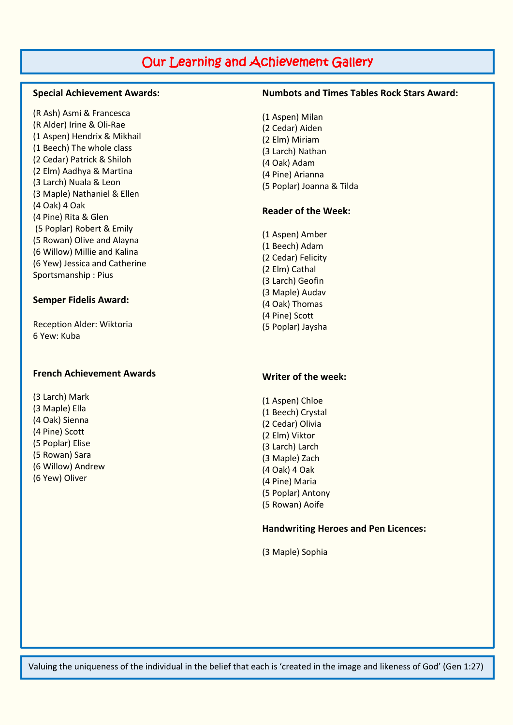# Our Learning and Achievement Gallery

#### **Special Achievement Awards:**

(R Ash) Asmi & Francesca (R Alder) Irine & Oli-Rae (1 Aspen) Hendrix & Mikhail (1 Beech) The whole class (2 Cedar) Patrick & Shiloh (2 Elm) Aadhya & Martina (3 Larch) Nuala & Leon (3 Maple) Nathaniel & Ellen (4 Oak) 4 Oak (4 Pine) Rita & Glen (5 Poplar) Robert & Emily (5 Rowan) Olive and Alayna (6 Willow) Millie and Kalina (6 Yew) Jessica and Catherine Sportsmanship : Pius

#### **Semper Fidelis Award:**

Reception Alder: Wiktoria 6 Yew: Kuba

#### **French Achievement Awards**

(3 Larch) Mark (3 Maple) Ella (4 Oak) Sienna (4 Pine) Scott (5 Poplar) Elise (5 Rowan) Sara (6 Willow) Andrew (6 Yew) Oliver

#### **Numbots and Times Tables Rock Stars Award:**

(1 Aspen) Milan (2 Cedar) Aiden (2 Elm) Miriam (3 Larch) Nathan (4 Oak) Adam (4 Pine) Arianna (5 Poplar) Joanna & Tilda

#### **Reader of the Week:**

(1 Aspen) Amber (1 Beech) Adam (2 Cedar) Felicity (2 Elm) Cathal (3 Larch) Geofin (3 Maple) Audav (4 Oak) Thomas (4 Pine) Scott (5 Poplar) Jaysha

#### **Writer of the week:**

(1 Aspen) Chloe (1 Beech) Crystal (2 Cedar) Olivia (2 Elm) Viktor (3 Larch) Larch (3 Maple) Zach (4 Oak) 4 Oak (4 Pine) Maria (5 Poplar) Antony (5 Rowan) Aoife

#### **Handwriting Heroes and Pen Licences:**

(3 Maple) Sophia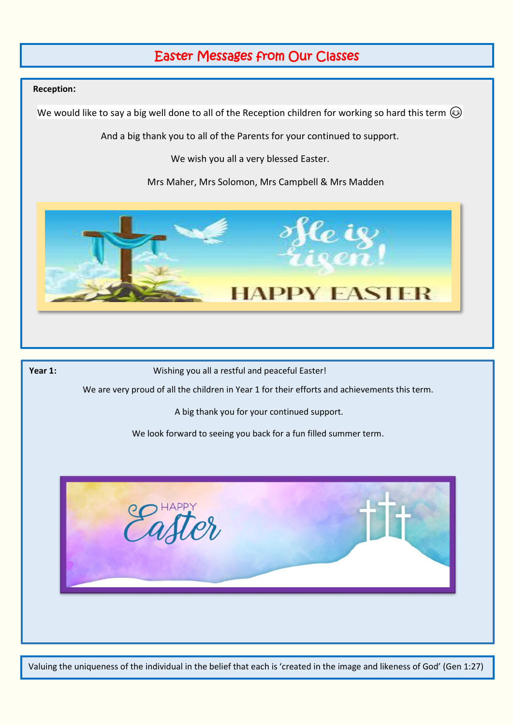# Easter Messages from Our Classes

#### **Reception:**

We would like to say a big well done to all of the Reception children for working so hard this term  $\odot$ 

And a big thank you to all of the Parents for your continued to support.

We wish you all a very blessed Easter.

Mrs Maher, Mrs Solomon, Mrs Campbell & Mrs Madden



Year 1: **Wishing you all a restful and peaceful Easter!** 

We are very proud of all the children in Year 1 for their efforts and achievements this term.

A big thank you for your continued support.

We look forward to seeing you back for a fun filled summer term.

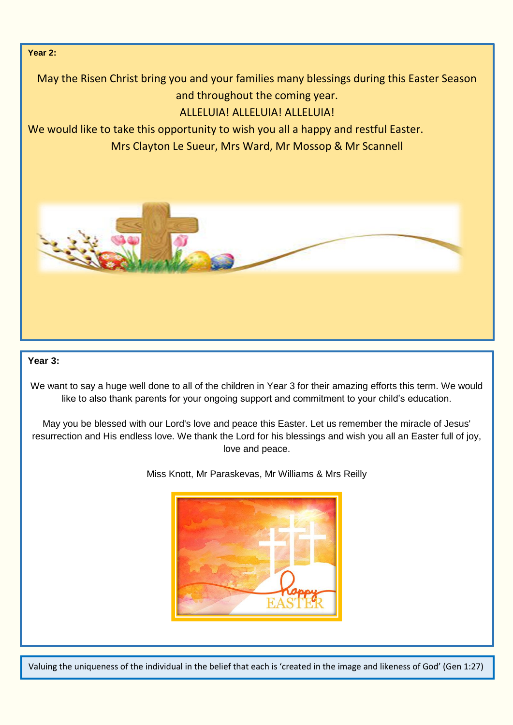## **Year 2:**

May the Risen Christ bring you and your families many blessings during this Easter Season and throughout the coming year.

# ALLELUIA! ALLELUIA! ALLELUIA!

We would like to take this opportunity to wish you all a happy and restful Easter.

Mrs Clayton Le Sueur, Mrs Ward, Mr Mossop & Mr Scannell



### **Year 3:**

We want to say a huge well done to all of the children in Year 3 for their amazing efforts this term. We would like to also thank parents for your ongoing support and commitment to your child's education.

May you be blessed with our Lord's love and peace this Easter. Let us remember the miracle of Jesus' resurrection and His endless love. We thank the Lord for his blessings and wish you all an Easter full of joy, love and peace.

Miss Knott, Mr Paraskevas, Mr Williams & Mrs Reilly

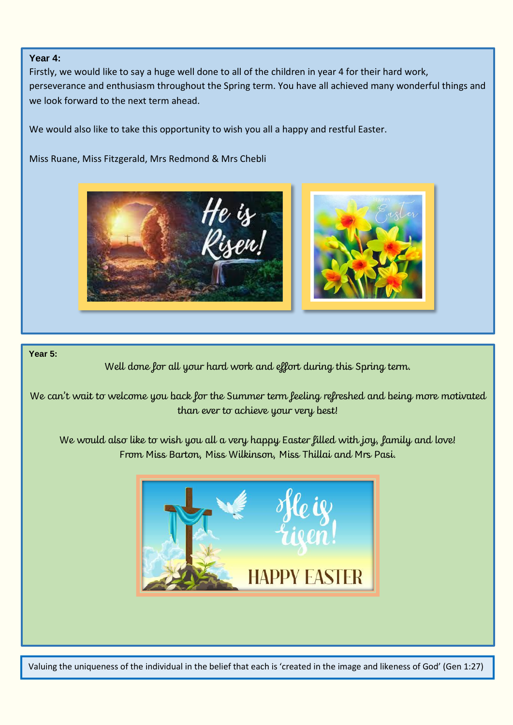### **Year 4:**

Firstly, we would like to say a huge well done to all of the children in year 4 for their hard work, perseverance and enthusiasm throughout the Spring term. You have all achieved many wonderful things and we look forward to the next term ahead.

We would also like to take this opportunity to wish you all a happy and restful Easter.

Miss Ruane, Miss Fitzgerald, Mrs Redmond & Mrs Chebli



### **Year 5:**

Well done for all your hard work and effort during this Spring term.

We can't wait to welcome you back for the Summer term feeling refreshed and being more motivated than ever to achieve your very best!

We would also like to wish you all a very happy Easter filled with joy, family and love! From Miss Barton, Miss Wilkinson, Miss Thillai and Mrs Pasi.